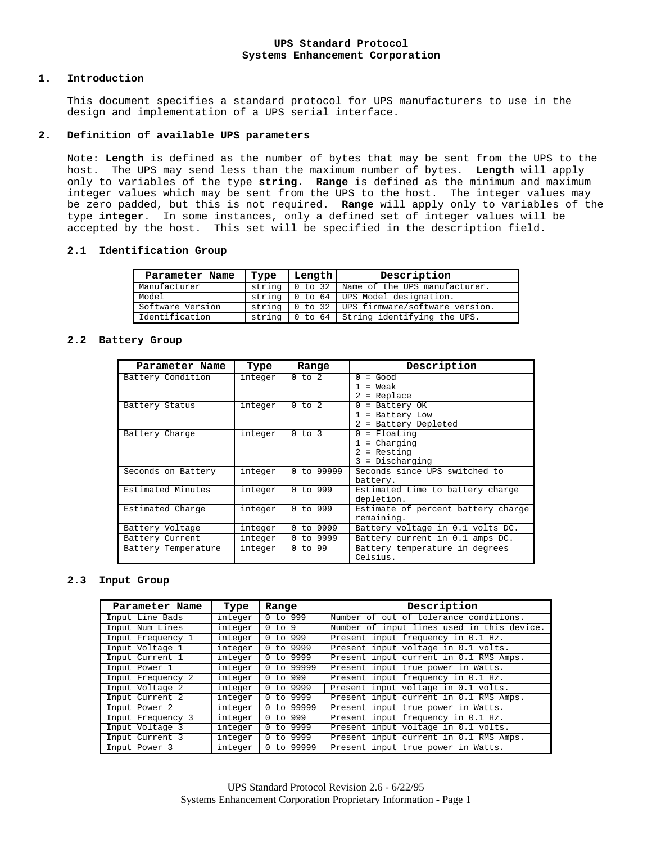### **UPS Standard Protocol Systems Enhancement Corporation**

#### **1. Introduction**

This document specifies a standard protocol for UPS manufacturers to use in the design and implementation of a UPS serial interface.

### **2. Definition of available UPS parameters**

Note: **Length** is defined as the number of bytes that may be sent from the UPS to the host. The UPS may send less than the maximum number of bytes. **Length** will apply only to variables of the type **string**. **Range** is defined as the minimum and maximum integer values which may be sent from the UPS to the host. The integer values may be zero padded, but this is not required. **Range** will apply only to variables of the type **integer**. In some instances, only a defined set of integer values will be accepted by the host. This set will be specified in the description field.

### **2.1 Identification Group**

| Parameter Name   | Type   | Length | Description                            |  |
|------------------|--------|--------|----------------------------------------|--|
| Manufacturer     | string |        | 0 to 32 Name of the UPS manufacturer.  |  |
| Model            | string |        | 0 to 64   UPS Model designation.       |  |
| Software Version | string |        | 0 to 32 UPS firmware/software version. |  |
| Identification   | string |        | 0 to 64 String identifying the UPS.    |  |

### **2.2 Battery Group**

| Parameter Name      | Type    | Range               | Description                                                         |  |
|---------------------|---------|---------------------|---------------------------------------------------------------------|--|
| Battery Condition   | integer | $0$ to $2$          | $=$ Good<br>$\Omega$<br>$=$ Weak<br>= Replace<br>2                  |  |
| Battery Status      | integer | $0$ to $2$          | = Battery OK<br>0<br>= Battery Low<br>= Battery Depleted            |  |
| Battery Charge      | integer | 0 to 3              | $0 =$ Floating<br>= Charging<br>= Resting<br>2<br>$3 = Discharqing$ |  |
| Seconds on Battery  | integer | 0 to 99999          | Seconds since UPS switched to<br>battery.                           |  |
| Estimated Minutes   | integer | $0 \text{ to } 999$ | Estimated time to battery charge<br>depletion.                      |  |
| Estimated Charge    | integer | $0$ to 999          | Estimate of percent battery charge<br>remaining.                    |  |
| Battery Voltage     | integer | 0 to 9999           | Battery voltage in 0.1 volts DC.                                    |  |
| Battery Current     | integer | 0 to 9999           | Battery current in 0.1 amps DC.                                     |  |
| Battery Temperature | integer | $0$ to 99           | Battery temperature in degrees<br>Celsius.                          |  |

### **2.3 Input Group**

| Parameter Name    | Type    | Range              | Description                                |
|-------------------|---------|--------------------|--------------------------------------------|
| Input Line Bads   | integer | $0$ to 999         | Number of out of tolerance conditions.     |
| Input Num Lines   | integer | 0 to 9             | Number of input lines used in this device. |
| Input Frequency 1 | integer | $0$ to 999         | Present input frequency in 0.1 Hz.         |
| Input Voltage 1   | integer | 0 to 9999          | Present input voltage in 0.1 volts.        |
| Input Current 1   | integer | 0 to 9999          | Present input current in 0.1 RMS Amps.     |
| Input Power 1     | integer | 0 to 99999         | Present input true power in Watts.         |
| Input Frequency 2 | integer | to 999<br>$\Omega$ | Present input frequency in 0.1 Hz.         |
| Input Voltage 2   | integer | 0 to 9999          | Present input voltage in 0.1 volts.        |
| Input Current 2   | integer | 0 to 9999          | Present input current in 0.1 RMS Amps.     |
| Input Power 2     | integer | 0 to 99999         | Present input true power in Watts.         |
| Input Frequency 3 | integer | $0$ to 999         | Present input frequency in 0.1 Hz.         |
| Input Voltage 3   | integer | to 9999            | Present input voltage in 0.1 volts.        |
| Input Current 3   | integer | 0 to 9999          | Present input current in 0.1 RMS Amps.     |
| Input Power 3     | integer | to 99999           | Present input true power in Watts.         |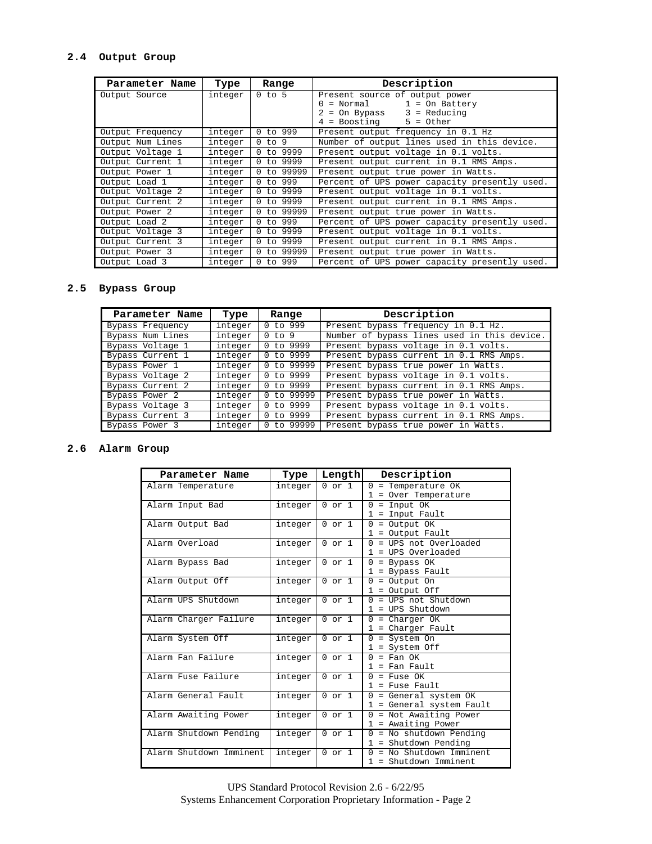# **2.4 Output Group**

| Parameter Name   | Type    | Range      | Description                                   |
|------------------|---------|------------|-----------------------------------------------|
| Output Source    | integer | $0$ to $5$ | Present source of output power                |
|                  |         |            | $1 =$ On Battery<br>= Normal                  |
|                  |         |            | $3 = Reducing$<br>= On Bypass                 |
|                  |         |            | 4 = Boosting<br>$5 = 0$ ther                  |
| Output Frequency | integer | $0$ to 999 | Present output frequency in 0.1 Hz            |
| Output Num Lines | integer | $0$ to $9$ | Number of output lines used in this device.   |
| Output Voltage 1 | integer | 0 to 9999  | Present output voltage in 0.1 volts.          |
| Output Current 1 | integer | 0 to 9999  | Present output current in 0.1 RMS Amps.       |
| Output Power 1   | integer | 0 to 99999 | Present output true power in Watts.           |
| Output Load 1    | integer | $0$ to 999 | Percent of UPS power capacity presently used. |
| Output Voltage 2 | integer | 0 to 9999  | Present output voltage in 0.1 volts.          |
| Output Current 2 | integer | 0 to 9999  | Present output current in 0.1 RMS Amps.       |
| Output Power 2   | integer | 0 to 99999 | Present output true power in Watts.           |
| Output Load 2    | integer | $0$ to 999 | Percent of UPS power capacity presently used. |
| Output Voltage 3 | integer | 0 to 9999  | Present output voltage in 0.1 volts.          |
| Output Current 3 | integer | 0 to 9999  | Present output current in 0.1 RMS Amps.       |
| Output Power 3   | integer | 0 to 99999 | Present output true power in Watts.           |
| Output Load 3    | integer | $0$ to 999 | Percent of UPS power capacity presently used. |

# **2.5 Bypass Group**

| Parameter Name   | Type    | Range                        | Description                                 |
|------------------|---------|------------------------------|---------------------------------------------|
| Bypass Frequency | integer | $0$ to 999                   | Present bypass frequency in 0.1 Hz.         |
| Bypass Num Lines | integer | 0 to 9                       | Number of bypass lines used in this device. |
| Bypass Voltage 1 | integer | to 9999<br>$\Omega$          | Present bypass voltage in 0.1 volts.        |
| Bypass Current 1 | integer | to 9999<br>$\Omega$          | Present bypass current in 0.1 RMS Amps.     |
| Bypass Power 1   | integer | to 99999<br>0                | Present bypass true power in Watts.         |
| Bypass Voltage 2 | integer | to 9999<br>$^{(1)}$          | Present bypass voltage in 0.1 volts.        |
| Bypass Current 2 | integer | to 9999<br>0                 | Present bypass current in 0.1 RMS Amps.     |
| Bypass Power 2   | integer | to 99999                     | Present bypass true power in Watts.         |
| Bypass Voltage 3 | integer | to 9999<br>0                 | Present bypass voltage in 0.1 volts.        |
| Bypass Current 3 | integer | to 9999<br>0                 | Present bypass current in 0.1 RMS Amps.     |
| Bypass Power 3   | integer | to 99999<br>$\left( \right)$ | Present bypass true power in Watts.         |

# **2.6 Alarm Group**

| Parameter Name          | Type    | Length            | Description                        |
|-------------------------|---------|-------------------|------------------------------------|
| Alarm Temperature       | integer | $0 \text{ or } 1$ | $0$ = Temperature OK               |
|                         |         |                   | 1 = Over Temperature               |
| Alarm Input Bad         | integer | $0 \text{ or } 1$ | $0 = Input OK$                     |
|                         |         |                   | = Input Fault<br>$\mathbf{1}$      |
| Alarm Output Bad        | integer | $0$ or $1$        | $0 =$ Output OK                    |
|                         |         |                   | $1 =$ Output Fault                 |
| Alarm Overload          | integer | $0 \text{ or } 1$ | $0 =$ UPS not Overloaded           |
|                         |         |                   | $1 = UPS$ Overloaded               |
| Alarm Bypass Bad        | integer | $0 \text{ or } 1$ | $0 = Bypass OK$                    |
|                         |         |                   | $1$ = Bypass Fault                 |
| Alarm Output Off        | integer | $0 \text{ or } 1$ | $0 =$ Output On                    |
|                         |         |                   | $1 =$ Output Off                   |
| Alarm UPS Shutdown      | integer | $0$ or $1$        | = UPS not. Shutdown<br>$\Omega$    |
|                         |         |                   | $1 = UPS Shutdown$                 |
| Alarm Charger Failure   | integer | $0$ or $1$        | $0 =$ Charger OK                   |
|                         |         |                   | $1$ = Charger Fault                |
| Alarm System Off        | integer | $0 \text{ or } 1$ | $0 = System On$                    |
|                         |         |                   | $1 = System$ Off                   |
| Alarm Fan Failure       | integer | $0$ or $1$        | $0 = \text{Fan OK}$                |
|                         |         |                   | $1$ = Fan Fault                    |
| Alarm Fuse Failure      | integer | $0 \text{ or } 1$ | $0 =$ Fuse OK                      |
|                         |         |                   | $1$ = Fuse Fault                   |
| Alarm General Fault     | integer | $0$ or $1$        | $0 = General system OK$            |
|                         |         |                   | 1 = General system Fault           |
| Alarm Awaiting Power    | integer | $0$ or $1$        | $0 = Not$ Awaiting Power           |
|                         |         |                   | 1 = Awaiting Power                 |
| Alarm Shutdown Pending  | integer | $0$ or $1$        | $0 = No$ shutdown Pending          |
|                         |         |                   | $1 = Shutdown Pending$             |
| Alarm Shutdown Imminent | integer | $0$ or $1$        | = No Shutdown Imminent<br>$\Omega$ |
|                         |         |                   | 1 = Shutdown Imminent              |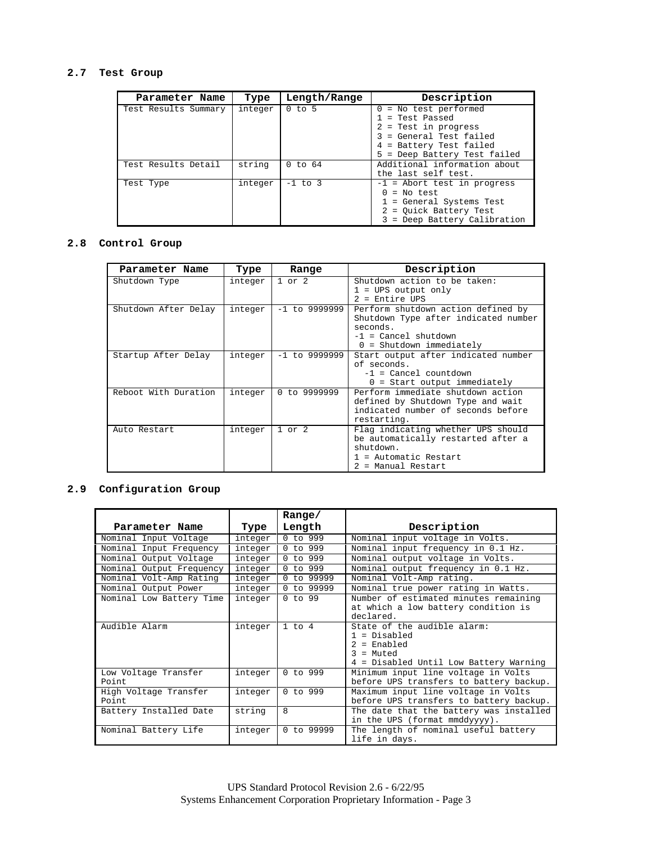# **2.7 Test Group**

| Parameter Name       | Type    | Length/Range | Description                                                                                                                                              |
|----------------------|---------|--------------|----------------------------------------------------------------------------------------------------------------------------------------------------------|
| Test Results Summary | integer | $0$ to 5     | $0 = No test performed$<br>= Test Passed<br>$2$ = Test in progress<br>3 = General Test failed<br>4 = Battery Test failed<br>5 = Deep Battery Test failed |
| Test Results Detail  | string  | $0$ to $64$  | Additional information about<br>the last self test.                                                                                                      |
| Test Type            | integer | $-1$ to 3    | $-1$ = Abort test in progress<br>$=$ No test<br>= General Systems Test<br>= Ouick Battery Test<br>$\overline{a}$<br>3 = Deep Battery Calibration         |

# **2.8 Control Group**

| Parameter Name                        | Type    | Range                                             | Description                                                                |
|---------------------------------------|---------|---------------------------------------------------|----------------------------------------------------------------------------|
| Shutdown Type                         | integer | $1$ or $2$                                        | Shutdown action to be taken:<br>$1 = UPS$ output only                      |
|                                       |         |                                                   | $2$ = Entire UPS                                                           |
| Shutdown After Delay                  | integer | $-1$ to 9999999                                   | Perform shutdown action defined by<br>Shutdown Type after indicated number |
|                                       |         |                                                   | seconds.                                                                   |
|                                       |         |                                                   | $-1$ = Cancel shutdown                                                     |
|                                       |         |                                                   | $0 =$ Shutdown immediately                                                 |
| Startup After Delay                   | integer | $-1$ to 9999999                                   | Start output after indicated number                                        |
|                                       |         |                                                   | of seconds.                                                                |
|                                       |         |                                                   | $-1$ = Cancel countdown                                                    |
|                                       |         |                                                   | $0 =$ Start output immediately                                             |
| Reboot With Duration                  | integer | Perform immediate shutdown action<br>0 to 9999999 |                                                                            |
|                                       |         |                                                   | defined by Shutdown Type and wait                                          |
|                                       |         |                                                   | indicated number of seconds before                                         |
|                                       |         |                                                   | restarting.                                                                |
| $1$ or $2$<br>Auto Restart<br>integer |         | Flag indicating whether UPS should                |                                                                            |
|                                       |         |                                                   | be automatically restarted after a                                         |
|                                       |         |                                                   | shutdown.                                                                  |
|                                       |         |                                                   | $1$ = Automatic Restart                                                    |
|                                       |         |                                                   | 2 = Manual Restart                                                         |

# **2.9 Configuration Group**

|                                |         | Range/     |                                                                                                                         |  |
|--------------------------------|---------|------------|-------------------------------------------------------------------------------------------------------------------------|--|
| Parameter Name                 | Type    | Length     | Description                                                                                                             |  |
| Nominal Input Voltage          | integer | $0$ to 999 | Nominal input voltage in Volts.                                                                                         |  |
| Nominal Input Frequency        | integer | 0 to 999   | Nominal input frequency in 0.1 Hz.                                                                                      |  |
| Nominal Output Voltage         | integer | 0 to 999   | Nominal output voltage in Volts.                                                                                        |  |
| Nominal Output Frequency       | integer | $0$ to 999 | Nominal output frequency in 0.1 Hz.                                                                                     |  |
| Nominal Volt-Amp Rating        | integer | 0 to 99999 | Nominal Volt-Amp rating.                                                                                                |  |
| Nominal Output Power           | integer | 0 to 99999 | Nominal true power rating in Watts.                                                                                     |  |
| Nominal Low Battery Time       | integer | $0$ to 99  | Number of estimated minutes remaining<br>at which a low battery condition is<br>declared.                               |  |
| Audible Alarm                  | integer | 1 to 4     | State of the audible alarm:<br>$1 = Disabled$<br>$2 =$ Enabled<br>$3 =$ Muted<br>4 = Disabled Until Low Battery Warning |  |
| Low Voltage Transfer<br>Point. | integer | 0 to 999   | Minimum input line voltage in Volts<br>before UPS transfers to battery backup.                                          |  |
| High Voltage Transfer<br>Point | integer | $0$ to 999 | Maximum input line voltage in Volts<br>before UPS transfers to battery backup.                                          |  |
| Battery Installed Date         | string  | 8          | The date that the battery was installed<br>in the UPS (format mmddyyyy).                                                |  |
| Nominal Battery Life           | integer | 0 to 99999 | The length of nominal useful battery<br>life in days.                                                                   |  |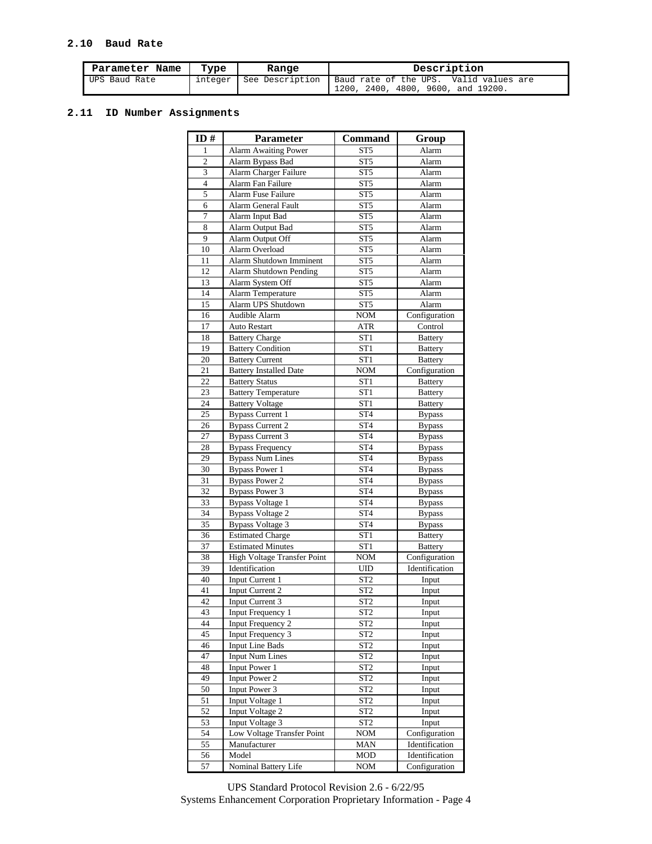# **2.10 Baud Rate**

| Parameter Name<br>Type<br>Range |         |                 | Description                                                                  |  |  |
|---------------------------------|---------|-----------------|------------------------------------------------------------------------------|--|--|
| UPS Baud Rate                   | integer | See Description | Baud rate of the UPS. Valid values are<br>1200, 2400, 4800, 9600, and 19200. |  |  |

# **2.11 ID Number Assignments**

| ID#            | <b>Parameter</b>              | <b>Command</b>  | Group          |
|----------------|-------------------------------|-----------------|----------------|
| 1              | <b>Alarm Awaiting Power</b>   | ST <sub>5</sub> | Alarm          |
| $\overline{c}$ | Alarm Bypass Bad              | ST <sub>5</sub> | Alarm          |
| 3              | Alarm Charger Failure         | ST <sub>5</sub> | Alarm          |
| $\overline{4}$ | Alarm Fan Failure             | ST <sub>5</sub> | Alarm          |
| 5              | Alarm Fuse Failure            | ST <sub>5</sub> | Alarm          |
| 6              | Alarm General Fault           | ST <sub>5</sub> | Alarm          |
| 7              | Alarm Input Bad               | ST <sub>5</sub> | Alarm          |
| 8              | Alarm Output Bad              | ST <sub>5</sub> | Alarm          |
| 9              | Alarm Output Off              | ST <sub>5</sub> | Alarm          |
| 10             | Alarm Overload                | ST <sub>5</sub> | Alarm          |
| 11             | Alarm Shutdown Imminent       | ST <sub>5</sub> | Alarm          |
| 12             | Alarm Shutdown Pending        | ST5             | Alarm          |
| 13             | Alarm System Off              | ST <sub>5</sub> | Alarm          |
| 14             | Alarm Temperature             | ST <sub>5</sub> | Alarm          |
| 15             | Alarm UPS Shutdown            | ST <sub>5</sub> | Alarm          |
| 16             | Audible Alarm                 | <b>NOM</b>      | Configuration  |
| 17             | <b>Auto Restart</b>           | <b>ATR</b>      | Control        |
| 18             | <b>Battery Charge</b>         | ST <sub>1</sub> | <b>Battery</b> |
| 19             | <b>Battery Condition</b>      | ST1             | <b>Battery</b> |
| 20             | <b>Battery Current</b>        | ST <sub>1</sub> | <b>Battery</b> |
| 21             | <b>Battery Installed Date</b> | <b>NOM</b>      | Configuration  |
| 22             | <b>Battery Status</b>         | ST <sub>1</sub> | <b>Battery</b> |
| 23             | <b>Battery Temperature</b>    | ST1             | <b>Battery</b> |
| 24             | <b>Battery Voltage</b>        | ST <sub>1</sub> |                |
| 25             | <b>Bypass Current 1</b>       | ST <sub>4</sub> | <b>Battery</b> |
|                |                               |                 | <b>Bypass</b>  |
| 26             | <b>Bypass Current 2</b>       | ST <sub>4</sub> | <b>Bypass</b>  |
| 27             | <b>Bypass Current 3</b>       | ST <sub>4</sub> | <b>Bypass</b>  |
| 28             | <b>Bypass Frequency</b>       | ST <sub>4</sub> | <b>Bypass</b>  |
| 29             | <b>Bypass Num Lines</b>       | ST <sub>4</sub> | <b>Bypass</b>  |
| 30             | <b>Bypass Power 1</b>         | ST <sub>4</sub> | <b>Bypass</b>  |
| 31             | <b>Bypass Power 2</b>         | ST <sub>4</sub> | <b>Bypass</b>  |
| 32             | <b>Bypass Power 3</b>         | ST <sub>4</sub> | <b>Bypass</b>  |
| 33             | <b>Bypass Voltage 1</b>       | ST <sub>4</sub> | <b>Bypass</b>  |
| 34             | <b>Bypass Voltage 2</b>       | ST <sub>4</sub> | <b>Bypass</b>  |
| 35             | <b>Bypass Voltage 3</b>       | ST <sub>4</sub> | <b>Bypass</b>  |
| 36             | <b>Estimated Charge</b>       | ST <sub>1</sub> | <b>Battery</b> |
| 37             | <b>Estimated Minutes</b>      | ST <sub>1</sub> | <b>Battery</b> |
| 38             | High Voltage Transfer Point   | <b>NOM</b>      | Configuration  |
| 39             | Identification                | UID             | Identification |
| 40             | Input Current 1               | ST <sub>2</sub> | Input          |
| 41             | Input Current 2               | ST <sub>2</sub> | Input          |
| 42             | Input Current 3               | ST <sub>2</sub> | Input          |
| 43             | Input Frequency 1             | ST <sub>2</sub> | Input          |
| 44             | <b>Input Frequency 2</b>      | ST <sub>2</sub> | Input          |
| 45             | Input Frequency 3             | ST <sub>2</sub> | Input          |
| 46             | <b>Input Line Bads</b>        | ST <sub>2</sub> | Input          |
| 47             | <b>Input Num Lines</b>        | ST <sub>2</sub> | Input          |
| 48             | Input Power 1                 | ST <sub>2</sub> | Input          |
| 49             | Input Power 2                 | ST <sub>2</sub> | Input          |
| 50             | Input Power 3                 | ST <sub>2</sub> | Input          |
| 51             | Input Voltage 1               | ST <sub>2</sub> | Input          |
| 52             | Input Voltage 2               | ST <sub>2</sub> | Input          |
| 53             | Input Voltage 3               | ST <sub>2</sub> | Input          |
| 54             | Low Voltage Transfer Point    | <b>NOM</b>      | Configuration  |
| 55             | Manufacturer                  | MAN             | Identification |
| 56             | Model                         | <b>MOD</b>      | Identification |
| 57             | Nominal Battery Life          | <b>NOM</b>      | Configuration  |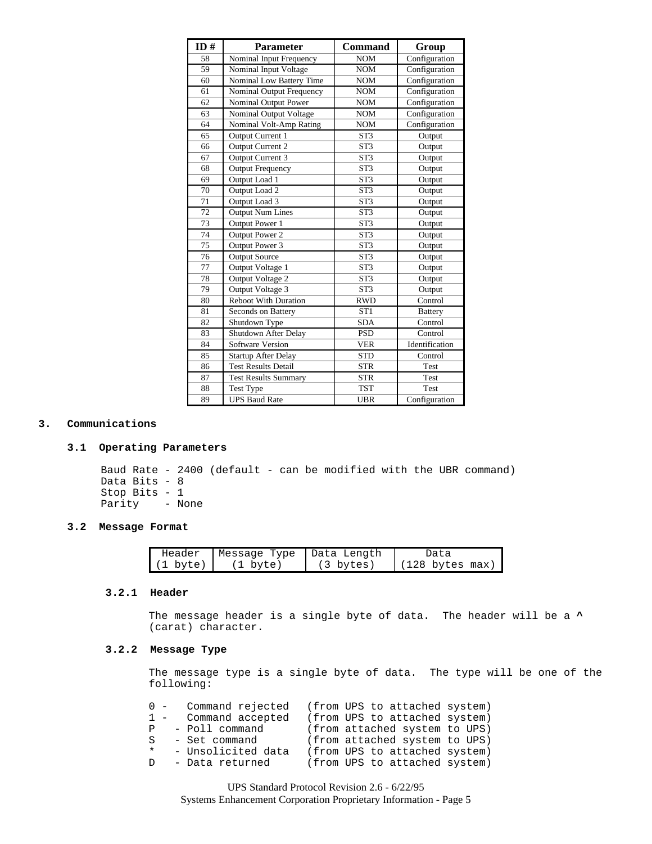| ID# | <b>Parameter</b>            | <b>Command</b>  | Group                             |
|-----|-----------------------------|-----------------|-----------------------------------|
| 58  | Nominal Input Frequency     | <b>NOM</b>      | Configuration                     |
| 59  | Nominal Input Voltage       | <b>NOM</b>      | Configuration                     |
| 60  | Nominal Low Battery Time    | <b>NOM</b>      | Configuration                     |
| 61  | Nominal Output Frequency    | <b>NOM</b>      | Configuration                     |
| 62  | Nominal Output Power        | <b>NOM</b>      | $\overline{\text{Configuration}}$ |
| 63  | Nominal Output Voltage      | <b>NOM</b>      | Configuration                     |
| 64  | Nominal Volt-Amp Rating     | <b>NOM</b>      | Configuration                     |
| 65  | Output Current 1            | ST <sub>3</sub> | Output                            |
| 66  | Output Current 2            | ST <sub>3</sub> | Output                            |
| 67  | Output Current 3            | ST <sub>3</sub> | Output                            |
| 68  | <b>Output Frequency</b>     | ST <sub>3</sub> | Output                            |
| 69  | Output Load 1               | ST <sub>3</sub> | Output                            |
| 70  | Output Load 2               | ST <sub>3</sub> | Output                            |
| 71  | Output Load 3               | ST <sub>3</sub> | Output                            |
| 72  | <b>Output Num Lines</b>     | ST <sub>3</sub> | Output                            |
| 73  | Output Power 1              | ST <sub>3</sub> | Output                            |
| 74  | Output Power 2              | ST <sub>3</sub> | Output                            |
| 75  | Output Power 3              | ST <sub>3</sub> | Output                            |
| 76  | <b>Output Source</b>        | ST <sub>3</sub> | Output                            |
| 77  | Output Voltage 1            | ST <sub>3</sub> | Output                            |
| 78  | Output Voltage 2            | ST <sub>3</sub> | Output                            |
| 79  | Output Voltage 3            | ST <sub>3</sub> | Output                            |
| 80  | <b>Reboot With Duration</b> | <b>RWD</b>      | Control                           |
| 81  | Seconds on Battery          | ST <sub>1</sub> | <b>Battery</b>                    |
| 82  | Shutdown Type               | <b>SDA</b>      | Control                           |
| 83  | Shutdown After Delay        | <b>PSD</b>      | Control                           |
| 84  | Software Version            | <b>VER</b>      | Identification                    |
| 85  | <b>Startup After Delay</b>  | <b>STD</b>      | Control                           |
| 86  | <b>Test Results Detail</b>  | <b>STR</b>      | Test                              |
| 87  | <b>Test Results Summary</b> | <b>STR</b>      | Test                              |
| 88  | <b>Test Type</b>            | <b>TST</b>      | Test                              |
| 89  | <b>UPS Baud Rate</b>        | <b>UBR</b>      | Configuration                     |

### **3. Communications**

### **3.1 Operating Parameters**

Baud Rate - 2400 (default - can be modified with the UBR command) Data Bits - 8 Stop Bits - 1<br>Parity - No - None

# **3.2 Message Format**

| Header             | Message Type | ∣Data Length        | Data                      |
|--------------------|--------------|---------------------|---------------------------|
| $(1 \text{ byte})$ | (1 byte)     | $(3 \text{ bytes})$ | $(128 \text{ bytes max})$ |

### **3.2.1 Header**

The message header is a single byte of data. The header will be a **^** (carat) character.

# **3.2.2 Message Type**

The message type is a single byte of data. The type will be one of the following:

|         |  | 0 - Command rejected  |  | (from UPS to attached system) |  |
|---------|--|-----------------------|--|-------------------------------|--|
|         |  | 1 - Command accepted  |  | (from UPS to attached system) |  |
|         |  | P - Poll command      |  | (from attached system to UPS) |  |
|         |  | S - Set command       |  | (from attached system to UPS) |  |
| $\star$ |  | - Unsolicited data    |  | (from UPS to attached system) |  |
|         |  | D     – Data returned |  | (from UPS to attached system) |  |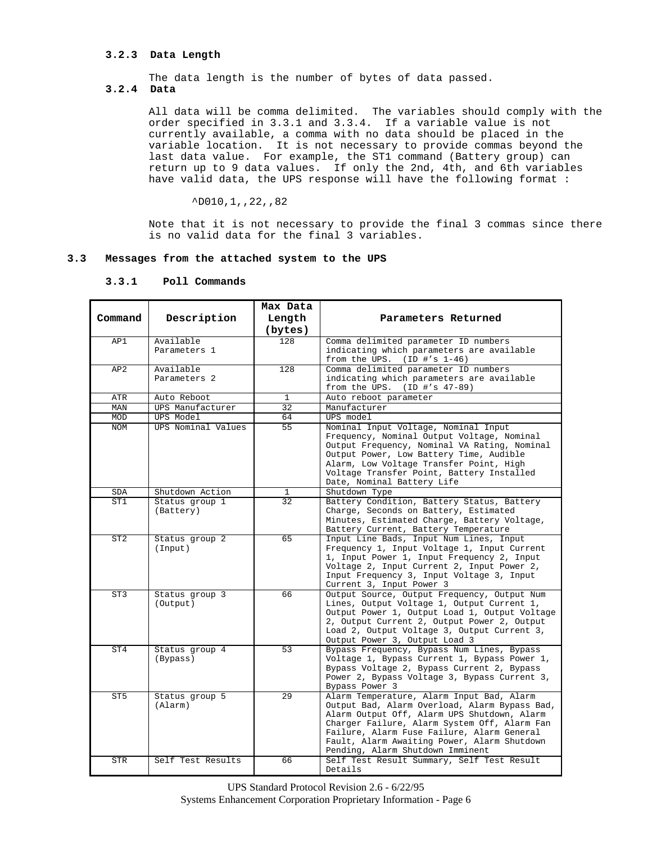# **3.2.3 Data Length**

The data length is the number of bytes of data passed.

# **3.2.4 Data**

All data will be comma delimited. The variables should comply with the order specified in 3.3.1 and 3.3.4. If a variable value is not currently available, a comma with no data should be placed in the variable location. It is not necessary to provide commas beyond the last data value. For example, the ST1 command (Battery group) can return up to 9 data values. If only the 2nd, 4th, and 6th variables have valid data, the UPS response will have the following format :

 $^{\wedge}$ D010,1,,22,,82

Note that it is not necessary to provide the final 3 commas since there is no valid data for the final 3 variables.

### **3.3 Messages from the attached system to the UPS**

|                 |                    | Max Data                        |                                                                                              |
|-----------------|--------------------|---------------------------------|----------------------------------------------------------------------------------------------|
| Command         | Description        | Length                          | Parameters Returned                                                                          |
|                 |                    | (bytes)                         |                                                                                              |
| AP1             | Available          | 128                             | Comma delimited parameter ID numbers                                                         |
|                 | Parameters 1       |                                 | indicating which parameters are available<br>from the UPS. $(ID #'s 1-46)$                   |
| AP2             | Available          | 128                             | Comma delimited parameter ID numbers                                                         |
|                 | Parameters 2       |                                 | indicating which parameters are available                                                    |
|                 |                    |                                 | from the UPS. $(ID #'s 47-89)$                                                               |
| ATR             | Auto Reboot        | $\mathbf{1}$<br>$\overline{32}$ | Auto reboot parameter                                                                        |
| MAN             | UPS Manufacturer   |                                 | Manufacturer                                                                                 |
| MOD             | UPS Model          | 64                              | UPS model                                                                                    |
| <b>NOM</b>      | UPS Nominal Values | 55                              | Nominal Input Voltage, Nominal Input                                                         |
|                 |                    |                                 | Frequency, Nominal Output Voltage, Nominal<br>Output Frequency, Nominal VA Rating, Nominal   |
|                 |                    |                                 | Output Power, Low Battery Time, Audible                                                      |
|                 |                    |                                 | Alarm, Low Voltage Transfer Point, High                                                      |
|                 |                    |                                 | Voltage Transfer Point, Battery Installed                                                    |
|                 |                    |                                 | Date, Nominal Battery Life                                                                   |
| <b>SDA</b>      | Shutdown Action    | 1                               | Shutdown Type                                                                                |
| ST1             | Status group 1     | $\overline{32}$                 | Battery Condition, Battery Status, Battery                                                   |
|                 | (Battery)          |                                 | Charge, Seconds on Battery, Estimated                                                        |
|                 |                    |                                 | Minutes, Estimated Charge, Battery Voltage,                                                  |
|                 |                    |                                 | Battery Current, Battery Temperature                                                         |
| ST <sub>2</sub> | Status group 2     | 65                              | Input Line Bads, Input Num Lines, Input                                                      |
|                 | (Input)            |                                 | Frequency 1, Input Voltage 1, Input Current                                                  |
|                 |                    |                                 | 1, Input Power 1, Input Frequency 2, Input                                                   |
|                 |                    |                                 | Voltage 2, Input Current 2, Input Power 2,                                                   |
|                 |                    |                                 | Input Frequency 3, Input Voltage 3, Input                                                    |
|                 |                    |                                 | Current 3, Input Power 3                                                                     |
| ST3             | Status group 3     | 66                              | Output Source, Output Frequency, Output Num                                                  |
|                 | (Output)           |                                 | Lines, Output Voltage 1, Output Current 1,                                                   |
|                 |                    |                                 | Output Power 1, Output Load 1, Output Voltage<br>2, Output Current 2, Output Power 2, Output |
|                 |                    |                                 | Load 2, Output Voltage 3, Output Current 3,                                                  |
|                 |                    |                                 | Output Power 3, Output Load 3                                                                |
| ST4             | Status group 4     | 53                              | Bypass Frequency, Bypass Num Lines, Bypass                                                   |
|                 | (Bypass)           |                                 | Voltage 1, Bypass Current 1, Bypass Power 1,                                                 |
|                 |                    |                                 | Bypass Voltage 2, Bypass Current 2, Bypass                                                   |
|                 |                    |                                 | Power 2, Bypass Voltage 3, Bypass Current 3,                                                 |
|                 |                    |                                 | Bypass Power 3                                                                               |
| ST <sub>5</sub> | Status group 5     | 29                              | Alarm Temperature, Alarm Input Bad, Alarm                                                    |
|                 | (Alarm)            |                                 | Output Bad, Alarm Overload, Alarm Bypass Bad,                                                |
|                 |                    |                                 | Alarm Output Off, Alarm UPS Shutdown, Alarm                                                  |
|                 |                    |                                 | Charger Failure, Alarm System Off, Alarm Fan                                                 |
|                 |                    |                                 | Failure, Alarm Fuse Failure, Alarm General                                                   |
|                 |                    |                                 | Fault, Alarm Awaiting Power, Alarm Shutdown                                                  |
|                 |                    |                                 | Pending, Alarm Shutdown Imminent                                                             |
| STR             | Self Test Results  | 66                              | Self Test Result Summary, Self Test Result<br>Details                                        |
|                 |                    |                                 |                                                                                              |

### **3.3.1 Poll Commands**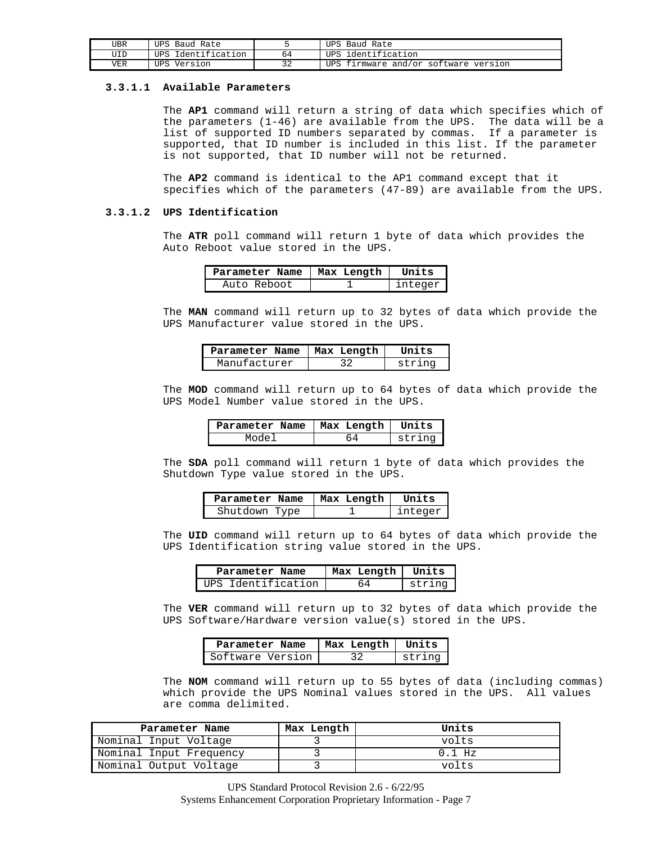| "JBR | UPS Baud Rate      | UPS Baud Rate                        |
|------|--------------------|--------------------------------------|
| "JID | UPS Identification | UPS identification                   |
| VER  | UPS Version        | UPS firmware and/or software version |

### **3.3.1.1 Available Parameters**

The **AP1** command will return a string of data which specifies which of the parameters (1-46) are available from the UPS. The data will be a list of supported ID numbers separated by commas. If a parameter is supported, that ID number is included in this list. If the parameter is not supported, that ID number will not be returned.

The **AP2** command is identical to the AP1 command except that it specifies which of the parameters (47-89) are available from the UPS.

### **3.3.1.2 UPS Identification**

The **ATR** poll command will return 1 byte of data which provides the Auto Reboot value stored in the UPS.

| Parameter Name   Max Length | Units   |
|-----------------------------|---------|
| Auto Reboot                 | integer |

The **MAN** command will return up to 32 bytes of data which provide the UPS Manufacturer value stored in the UPS.

| Parameter Name   Max Length | Units  |
|-----------------------------|--------|
| Manufacturer                | strina |

The **MOD** command will return up to 64 bytes of data which provide the UPS Model Number value stored in the UPS.

| Parameter Name   Max Length   Units |        |
|-------------------------------------|--------|
| Model                               | string |

The **SDA** poll command will return 1 byte of data which provides the Shutdown Type value stored in the UPS.

| Parameter Name | Max Length | Units   |
|----------------|------------|---------|
| Shutdown Type  |            | integer |

The **UID** command will return up to 64 bytes of data which provide the UPS Identification string value stored in the UPS.

| Parameter Name     | Max Length   Units |        |
|--------------------|--------------------|--------|
| UPS Identification |                    | string |

The **VER** command will return up to 32 bytes of data which provide the UPS Software/Hardware version value(s) stored in the UPS.

| Parameter Name   | Max Length   Units |        |
|------------------|--------------------|--------|
| Software Version |                    | strina |

The **NOM** command will return up to 55 bytes of data (including commas) which provide the UPS Nominal values stored in the UPS. All values are comma delimited.

| Parameter Name          | Max Length | Units    |
|-------------------------|------------|----------|
| Nominal Input Voltage   |            | volts    |
| Nominal Input Frequency |            | $0.1$ Hz |
| Nominal Output Voltage  |            | volts    |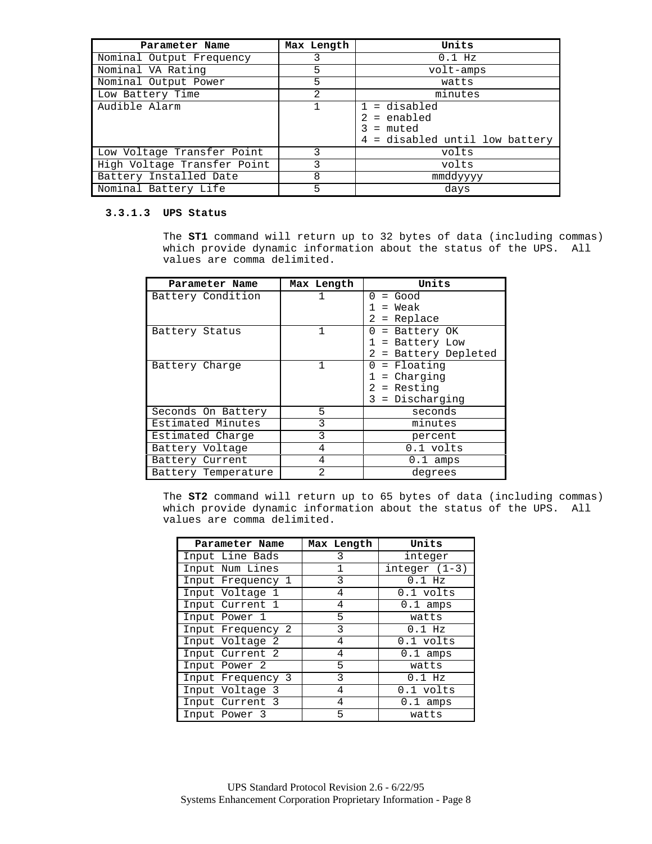| Parameter Name              | Max Length | Units                                                                        |
|-----------------------------|------------|------------------------------------------------------------------------------|
| Nominal Output Frequency    |            | $0.1$ Hz                                                                     |
| Nominal VA Rating           | 5          | volt-amps                                                                    |
| Nominal Output Power        | 5          | watts                                                                        |
| Low Battery Time            | 2          | minutes                                                                      |
| Audible Alarm               |            | $1 =$ disabled<br>$2 =$ enabled<br>= muted<br>4 = disabled until low battery |
| Low Voltage Transfer Point  | 3          | volts                                                                        |
| High Voltage Transfer Point | 3          | volts                                                                        |
| Battery Installed Date      | 8          | mmddyyyy                                                                     |
| Nominal Battery Life        | 5          | days                                                                         |

# **3.3.1.3 UPS Status**

The **ST1** command will return up to 32 bytes of data (including commas) which provide dynamic information about the status of the UPS. All values are comma delimited.

| Parameter Name      | Max Length | Units                |
|---------------------|------------|----------------------|
| Battery Condition   | 1          | 0<br>= Good          |
|                     |            | = Weak               |
|                     |            | 2.<br>= Replace      |
| Battery Status      | 1          | 0<br>= Battery OK    |
|                     |            | 1 = Battery Low      |
|                     |            | 2 = Battery Depleted |
| Battery Charge      | 1          | = Floating<br>0      |
|                     |            | = Charging           |
|                     |            | $2$ = Resting        |
|                     |            | $3 = Discharqing$    |
| Seconds On Battery  | 5          | seconds              |
| Estimated Minutes   | 3          | minutes              |
| Estimated Charge    | 3          | percent              |
| Battery Voltage     | 4          | 0.1 volts            |
| Battery Current     | 4          | $0.1$ amps           |
| Battery Temperature | 2          | degrees              |

The **ST2** command will return up to 65 bytes of data (including commas) which provide dynamic information about the status of the UPS. All values are comma delimited.

| Parameter Name    | Max Length | Units           |
|-------------------|------------|-----------------|
| Input Line Bads   | 3          | integer         |
| Input Num Lines   | 1          | $integer (1-3)$ |
| Input Frequency 1 | 3          | $0.1$ Hz        |
| Input Voltage 1   | 4          | 0.1 volts       |
| Input Current 1   | 4          | $0.1$ amps      |
| Input Power 1     | 5          | watts           |
| Input Frequency 2 | 3          | $0.1$ Hz        |
| Input Voltage 2   | 4          | 0.1 volts       |
| Input Current 2   | 4          | $0.1$ amps      |
| Input Power 2     | 5          | watts           |
| Input Frequency 3 | 3          | $0.1$ Hz        |
| Input Voltage 3   | 4          | 0.1 volts       |
| Input Current 3   | 4          | $0.1$ amps      |
| Input Power 3     | 5          | watts           |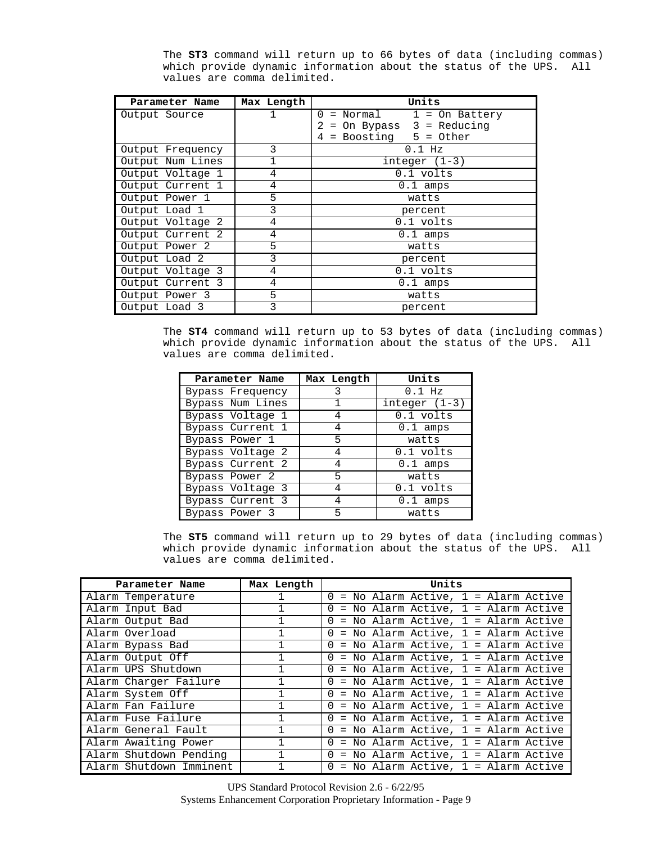| Parameter Name   | Max Length      | Units                                 |
|------------------|-----------------|---------------------------------------|
| Output Source    |                 | $\Omega$<br>$= Normal$ 1 = On Battery |
|                  |                 | On Bypass $3 =$ Reducing<br>$=$       |
|                  |                 | $=$ Boosting 5 = Other<br>4           |
| Output Frequency | 3               | $0.1$ Hz                              |
| Output Num Lines | $\mathbf{1}$    | $integer(1-3)$                        |
| Output Voltage 1 | 4               | 0.1 volts                             |
| Output Current 1 | 4               | $0.1$ amps                            |
| Output Power 1   | 5               | watts                                 |
| Output Load 1    | 3               | percent                               |
| Output Voltage 2 | 4               | 0.1 volts                             |
| Output Current 2 | 4<br>$0.1$ amps |                                       |
| Output Power 2   | 5               | watts                                 |
| Output Load 2    | 3               | percent                               |
| Output Voltage 3 | 4               | 0.1 volts                             |
| Output Current 3 | 4               | $0.1$ amps                            |
| Output Power 3   | 5               | watts                                 |
| Output Load 3    | 3               | percent                               |

The **ST3** command will return up to 66 bytes of data (including commas) which provide dynamic information about the status of the UPS. All values are comma delimited.

The **ST4** command will return up to 53 bytes of data (including commas) which provide dynamic information about the status of the UPS. All values are comma delimited.

| Parameter Name   | Max Length | Units           |
|------------------|------------|-----------------|
| Bypass Frequency | 3          | $0.1$ Hz        |
| Bypass Num Lines |            | $integer (1-3)$ |
| Bypass Voltage 1 | 4          | 0.1 volts       |
| Bypass Current 1 | 4          | $0.1$ amps      |
| Bypass Power 1   | 5          | watts           |
| Bypass Voltage 2 | 4          | 0.1 volts       |
| Bypass Current 2 | 4          | $0.1$ amps      |
| Bypass Power 2   | 5          | watts           |
| Bypass Voltage 3 | 4          | 0.1 volts       |
| Bypass Current 3 | 4          | $0.1$ amps      |
| Bypass Power 3   | 5          | watts           |

The **ST5** command will return up to 29 bytes of data (including commas) which provide dynamic information about the status of the UPS. All values are comma delimited.

| Parameter Name          | Max Length   | Units                                               |
|-------------------------|--------------|-----------------------------------------------------|
| Alarm Temperature       |              | $0 = No$ Alarm Active, $1 =$ Alarm Active           |
| Alarm Input Bad         |              | $0 = No$ Alarm Active, $1 =$ Alarm Active           |
| Alarm Output Bad        |              | $0 = No$ Alarm Active, $1 =$ Alarm Active           |
| Alarm Overload          |              | $=$ No Alarm Active, 1 = Alarm Active<br>$\Omega$   |
| Alarm Bypass Bad        | $\mathbf{1}$ | $0 = No$ Alarm Active, $1 =$ Alarm Active           |
| Alarm Output Off        |              | = No Alarm Active, 1 = Alarm Active<br>$\Omega$     |
| Alarm UPS Shutdown      |              | $0 = No$ Alarm Active, $1 =$ Alarm Active           |
| Alarm Charger Failure   |              | $0 = No$ Alarm Active, $1 =$ Alarm Active           |
| Alarm System Off        |              | $0 = No$ Alarm Active, $1 =$ Alarm Active           |
| Alarm Fan Failure       |              | $0 = No$ Alarm Active, $1 =$ Alarm Active           |
| Alarm Fuse Failure      |              | $0 = No$ Alarm Active, $1 =$ Alarm Active           |
| Alarm General Fault     |              | $=$ No Alarm Active, $1 =$ Alarm Active<br>$\Omega$ |
| Alarm Awaiting Power    |              | $0 = No$ Alarm Active, $1 =$ Alarm Active           |
| Alarm Shutdown Pending  | $\mathbf{1}$ | $0 = No$ Alarm Active, $1 =$ Alarm Active           |
| Alarm Shutdown Imminent |              | $0 = No$ Alarm Active, $1 =$ Alarm Active           |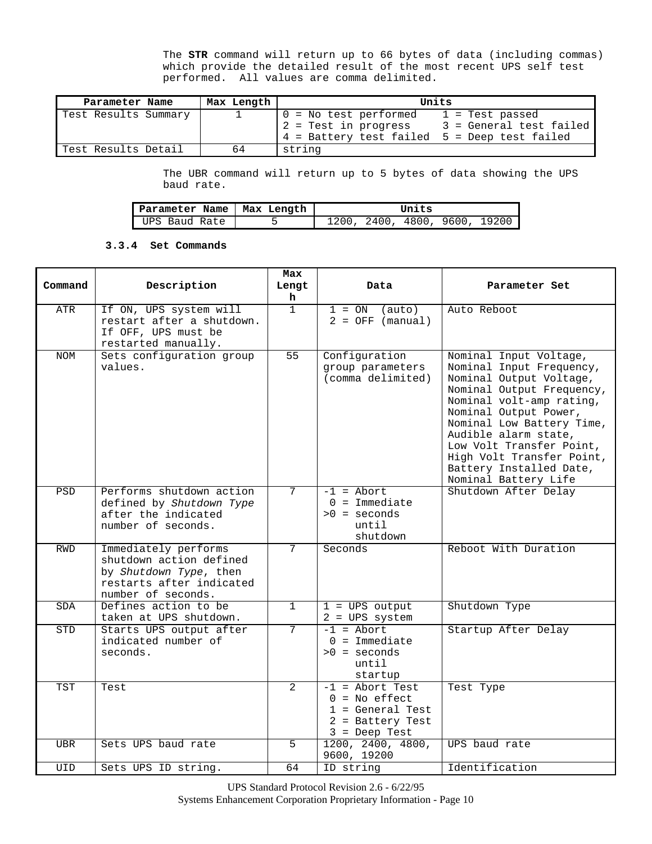The **STR** command will return up to 66 bytes of data (including commas) which provide the detailed result of the most recent UPS self test performed. All values are comma delimited.

| Parameter Name       | Max Length | Units                                                                                                   |                                              |
|----------------------|------------|---------------------------------------------------------------------------------------------------------|----------------------------------------------|
| Test Results Summary |            | $0 = No test performed$<br>$12$ = Test in progress<br>$ 4$ = Battery test failed $5$ = Deep test failed | $1$ = Test passed<br>3 = General test failed |
| Test Results Detail  | 64         | string                                                                                                  |                                              |

The UBR command will return up to 5 bytes of data showing the UPS baud rate.

| Parameter Name | Max Length | Units                         |
|----------------|------------|-------------------------------|
| UPS Baud Rate  |            | 1200, 2400, 4800, 9600, 19200 |

# **3.3.4 Set Commands**

| Command    | Description                                                                                                                 | Max<br>Lengt      | Data                                                                                                | Parameter Set                                                                                                                                                                                                                                                                                                                    |
|------------|-----------------------------------------------------------------------------------------------------------------------------|-------------------|-----------------------------------------------------------------------------------------------------|----------------------------------------------------------------------------------------------------------------------------------------------------------------------------------------------------------------------------------------------------------------------------------------------------------------------------------|
| ATR        | If ON, UPS system will<br>restart after a shutdown.<br>If OFF, UPS must be<br>restarted manually.                           | h<br>$\mathbf{1}$ | $1 = ON$<br>(auto)<br>$2 = OFF (manual)$                                                            | Auto Reboot                                                                                                                                                                                                                                                                                                                      |
| <b>NOM</b> | Sets configuration group<br>values.                                                                                         | 55                | Configuration<br>group parameters<br>(comma delimited)                                              | Nominal Input Voltage,<br>Nominal Input Frequency,<br>Nominal Output Voltage,<br>Nominal Output Frequency,<br>Nominal volt-amp rating,<br>Nominal Output Power,<br>Nominal Low Battery Time,<br>Audible alarm state,<br>Low Volt Transfer Point,<br>High Volt Transfer Point,<br>Battery Installed Date,<br>Nominal Battery Life |
| PSD        | Performs shutdown action<br>defined by Shutdown Type<br>after the indicated<br>number of seconds.                           | $\overline{7}$    | $-1$ = Abort<br>$0 = Immediate$<br>$>0$ = seconds<br>until<br>shutdown                              | Shutdown After Delay                                                                                                                                                                                                                                                                                                             |
| RWD        | Immediately performs<br>shutdown action defined<br>by Shutdown Type, then<br>restarts after indicated<br>number of seconds. | $\overline{7}$    | Seconds                                                                                             | Reboot With Duration                                                                                                                                                                                                                                                                                                             |
| <b>SDA</b> | Defines action to be<br>taken at UPS shutdown.                                                                              | $\mathbf{1}$      | $1 = UPS$ output<br>$2 = UPS$ system                                                                | Shutdown Type                                                                                                                                                                                                                                                                                                                    |
| STD        | Starts UPS output after<br>indicated number of<br>seconds.                                                                  | $\overline{7}$    | $-1$ = Abort<br>$0 =$ Immediate<br>$>0$ = seconds<br>until<br>startup                               | Startup After Delay                                                                                                                                                                                                                                                                                                              |
| TST        | Test                                                                                                                        | $\overline{2}$    | $-1$ = Abort Test<br>$0 = No$ effect<br>$1 = General Test$<br>$2$ = Battery Test<br>$3 = Deep Test$ | Test Type                                                                                                                                                                                                                                                                                                                        |
| <b>UBR</b> | Sets UPS baud rate                                                                                                          | 5                 | 1200, 2400, 4800,<br>9600, 19200                                                                    | UPS baud rate                                                                                                                                                                                                                                                                                                                    |
| UID        | Sets UPS ID string.                                                                                                         | 64                | ID string                                                                                           | Identification                                                                                                                                                                                                                                                                                                                   |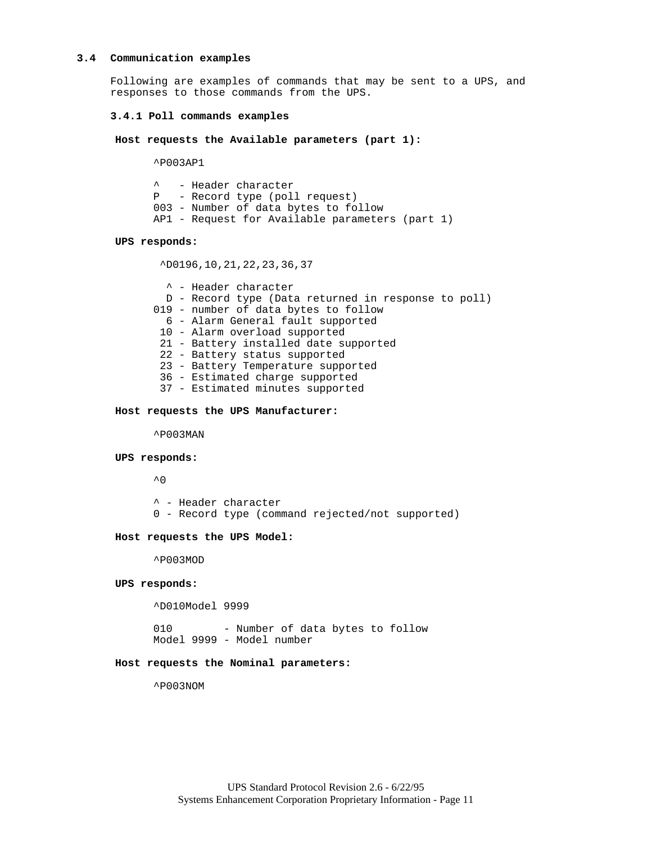#### **3.4 Communication examples**

Following are examples of commands that may be sent to a UPS, and responses to those commands from the UPS.

### **3.4.1 Poll commands examples**

**Host requests the Available parameters (part 1):**

^P003AP1

^ - Header character P - Record type (poll request) 003 - Number of data bytes to follow AP1 - Request for Available parameters (part 1)

### **UPS responds:**

^D0196,10,21,22,23,36,37

 ^ - Header character D - Record type (Data returned in response to poll) 019 - number of data bytes to follow 6 - Alarm General fault supported 10 - Alarm overload supported 21 - Battery installed date supported 22 - Battery status supported 23 - Battery Temperature supported 36 - Estimated charge supported 37 - Estimated minutes supported

### **Host requests the UPS Manufacturer:**

^P003MAN

#### **UPS responds:**

 $^{\sim}$  0

- ^ Header character
- 0 Record type (command rejected/not supported)

#### **Host requests the UPS Model:**

^P003MOD

### **UPS responds:**

^D010Model 9999

010 - Number of data bytes to follow Model 9999 - Model number

### **Host requests the Nominal parameters:**

^P003NOM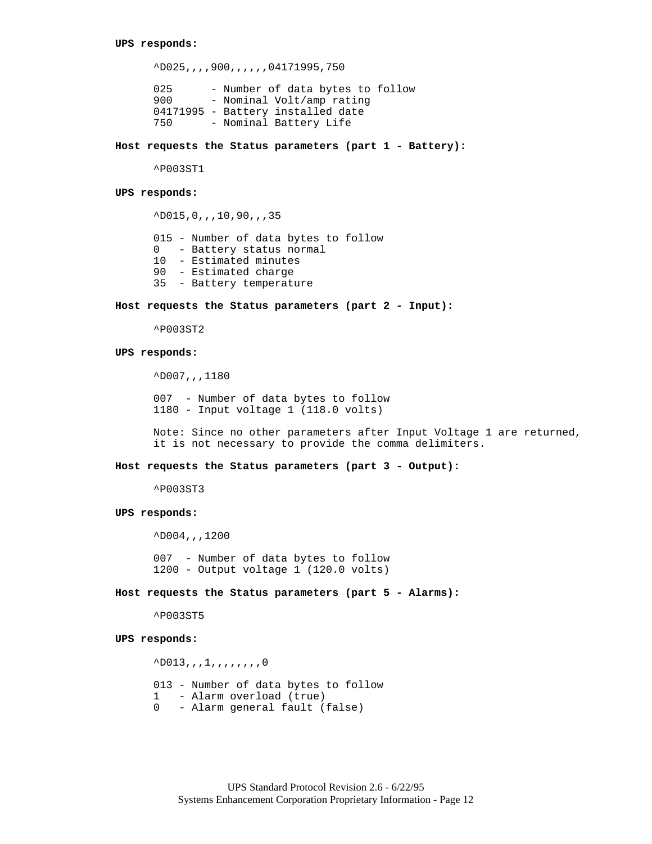^D025,,,,900,,,,,,04171995,750 025 - Number of data bytes to follow 900 - Nominal Volt/amp rating 04171995 - Battery installed date

750 - Nominal Battery Life

**Host requests the Status parameters (part 1 - Battery):**

^P003ST1

#### **UPS responds:**

^D015,0,,,10,90,,,35 015 - Number of data bytes to follow 0 - Battery status normal 10 - Estimated minutes 90 - Estimated charge 35 - Battery temperature

#### **Host requests the Status parameters (part 2 - Input):**

^P003ST2

### **UPS responds:**

^D007,,,1180

007 - Number of data bytes to follow 1180 - Input voltage 1 (118.0 volts)

Note: Since no other parameters after Input Voltage 1 are returned, it is not necessary to provide the comma delimiters.

#### **Host requests the Status parameters (part 3 - Output):**

^P003ST3

### **UPS responds:**

^D004,,,1200

007 - Number of data bytes to follow 1200 - Output voltage 1 (120.0 volts)

**Host requests the Status parameters (part 5 - Alarms):**

^P003ST5

### **UPS responds:**

 $^{\wedge}$ D013,,,,,,,,,,,,,0 013 - Number of data bytes to follow 1 - Alarm overload (true) 0 - Alarm general fault (false)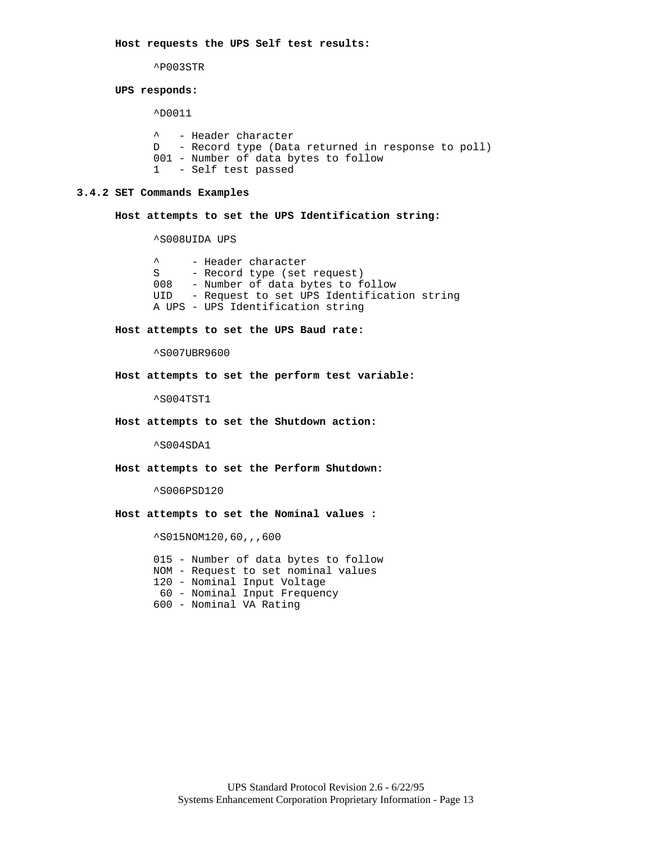**Host requests the UPS Self test results:**

^P003STR

#### **UPS responds:**

^D0011

^ - Header character D - Record type (Data returned in response to poll) 001 - Number of data bytes to follow 1 - Self test passed

### **3.4.2 SET Commands Examples**

**Host attempts to set the UPS Identification string:**

^S008UIDA UPS

^ - Header character S - Record type (set request) 008 - Number of data bytes to follow UID - Request to set UPS Identification string A UPS - UPS Identification string

### **Host attempts to set the UPS Baud rate:**

^S007UBR9600

**Host attempts to set the perform test variable:**

^S004TST1

**Host attempts to set the Shutdown action:**

^S004SDA1

**Host attempts to set the Perform Shutdown:**

^S006PSD120

**Host attempts to set the Nominal values :**

^S015NOM120,60,,,600

015 - Number of data bytes to follow NOM - Request to set nominal values 120 - Nominal Input Voltage 60 - Nominal Input Frequency 600 - Nominal VA Rating